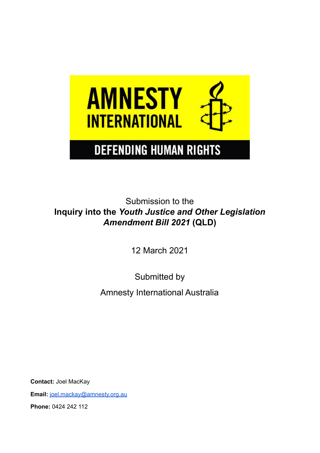

Submission to the **Inquiry into the** *Youth Justice and Other Legislation Amendment Bill 2021* **(QLD)**

12 March 2021

Submitted by Amnesty International Australia

**Contact:** Joel MacKay **Email:** [joel.mackay@amnesty.org.au](mailto:joel.mackay@amnesty.org.au) **Phone:** 0424 242 112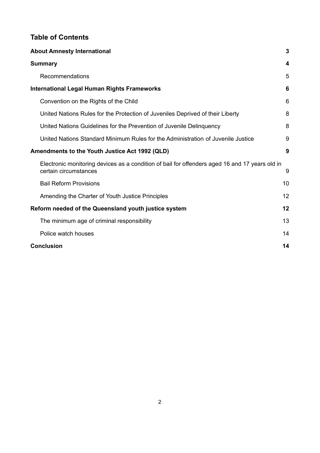# **Table of Contents**

| <b>About Amnesty International</b>                                                                                      | $\overline{3}$ |
|-------------------------------------------------------------------------------------------------------------------------|----------------|
| <b>Summary</b>                                                                                                          | 4              |
| Recommendations                                                                                                         | 5              |
| <b>International Legal Human Rights Frameworks</b>                                                                      | 6              |
| Convention on the Rights of the Child                                                                                   | 6              |
| United Nations Rules for the Protection of Juveniles Deprived of their Liberty                                          | 8              |
| United Nations Guidelines for the Prevention of Juvenile Delinquency                                                    | 8              |
| United Nations Standard Minimum Rules for the Administration of Juvenile Justice                                        | 9              |
| Amendments to the Youth Justice Act 1992 (QLD)                                                                          | 9              |
| Electronic monitoring devices as a condition of bail for offenders aged 16 and 17 years old in<br>certain circumstances | 9              |
| <b>Bail Reform Provisions</b>                                                                                           | 10             |
| Amending the Charter of Youth Justice Principles                                                                        | 12             |
| Reform needed of the Queensland youth justice system                                                                    | 12             |
| The minimum age of criminal responsibility                                                                              | 13             |
| Police watch houses                                                                                                     | 14             |
| <b>Conclusion</b>                                                                                                       | 14             |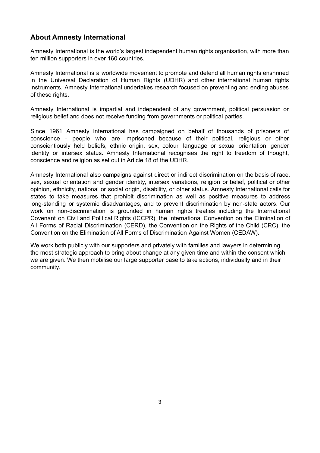# <span id="page-2-0"></span>**About Amnesty International**

Amnesty International is the world's largest independent human rights organisation, with more than ten million supporters in over 160 countries.

Amnesty International is a worldwide movement to promote and defend all human rights enshrined in the Universal Declaration of Human Rights (UDHR) and other international human rights instruments. Amnesty International undertakes research focused on preventing and ending abuses of these rights.

Amnesty International is impartial and independent of any government, political persuasion or religious belief and does not receive funding from governments or political parties.

Since 1961 Amnesty International has campaigned on behalf of thousands of prisoners of conscience - people who are imprisoned because of their political, religious or other conscientiously held beliefs, ethnic origin, sex, colour, language or sexual orientation, gender identity or intersex status. Amnesty International recognises the right to freedom of thought, conscience and religion as set out in Article 18 of the UDHR.

Amnesty International also campaigns against direct or indirect discrimination on the basis of race, sex, sexual orientation and gender identity, intersex variations, religion or belief, political or other opinion, ethnicity, national or social origin, disability, or other status. Amnesty International calls for states to take measures that prohibit discrimination as well as positive measures to address long-standing or systemic disadvantages, and to prevent discrimination by non-state actors. Our work on non-discrimination is grounded in human rights treaties including the International Covenant on Civil and Political Rights (ICCPR), the International Convention on the Elimination of All Forms of Racial Discrimination (CERD), the Convention on the Rights of the Child (CRC), the Convention on the Elimination of All Forms of Discrimination Against Women (CEDAW).

We work both publicly with our supporters and privately with families and lawyers in determining the most strategic approach to bring about change at any given time and within the consent which we are given. We then mobilise our large supporter base to take actions, individually and in their community.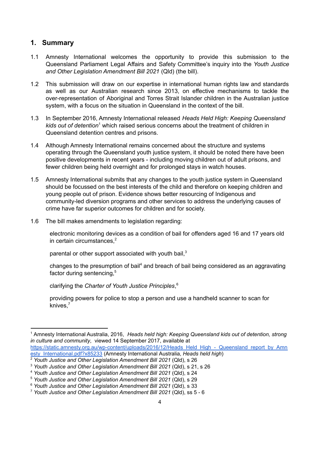# <span id="page-3-0"></span>**1. Summary**

- 1.1 Amnesty International welcomes the opportunity to provide this submission to the Queensland Parliament Legal Affairs and Safety Committee's inquiry into the *Youth Justice and Other Legislation Amendment Bill 2021* (Qld) (the bill).
- 1.2 This submission will draw on our expertise in international human rights law and standards as well as our Australian research since 2013, on effective mechanisms to tackle the over-representation of Aboriginal and Torres Strait Islander children in the Australian justice system, with a focus on the situation in Queensland in the context of the bill.
- 1.3 In September 2016, Amnesty International released *Heads Held High: Keeping Queensland* kids out of detention<sup>1</sup> which raised serious concerns about the treatment of children in Queensland detention centres and prisons.
- 1.4 Although Amnesty International remains concerned about the structure and systems operating through the Queensland youth justice system, it should be noted there have been positive developments in recent years - including moving children out of adult prisons, and fewer children being held overnight and for prolonged stays in watch houses.
- 1.5 Amnesty International submits that any changes to the youth justice system in Queensland should be focussed on the best interests of the child and therefore on keeping children and young people out of prison. Evidence shows better resourcing of Indigenous and community-led diversion programs and other services to address the underlying causes of crime have far superior outcomes for children and for society.
- 1.6 The bill makes amendments to legislation regarding:

electronic monitoring devices as a condition of bail for offenders aged 16 and 17 years old in certain circumstances, 2

parental or other support associated with youth bail,<sup>3</sup>

changes to the presumption of bail<sup>4</sup> and breach of bail being considered as an aggravating factor during sentencing,<sup>5</sup>

clarifying the *Charter of Youth Justice Principles*, 6

providing powers for police to stop a person and use a handheld scanner to scan for knives, 7

<sup>1</sup> Amnesty International Australia, 2016, *Heads held high: Keeping Queensland kids out of detention, strong in culture and community*, viewed 14 September 2017, available at [https://static.amnesty.org.au/wp-content/uploads/2016/12/Heads\\_Held\\_High\\_-\\_Queensland\\_report\\_by\\_Amn](https://static.amnesty.org.au/wp-content/uploads/2016/12/Heads_Held_High_-_Queensland_report_by_Amnesty_International.pdf?x85233)

[esty\\_International.pdf?x85233](https://static.amnesty.org.au/wp-content/uploads/2016/12/Heads_Held_High_-_Queensland_report_by_Amnesty_International.pdf?x85233) (Amnesty International Australia, *Heads held high*)

<sup>2</sup> *Youth Justice and Other Legislation Amendment Bill 2021* (Qld), s 26

<sup>3</sup> *Youth Justice and Other Legislation Amendment Bill 2021* (Qld), s 21, s 26

<sup>4</sup> *Youth Justice and Other Legislation Amendment Bill 2021* (Qld), s 24

<sup>5</sup> *Youth Justice and Other Legislation Amendment Bill 2021* (Qld), s 29

<sup>6</sup> *Youth Justice and Other Legislation Amendment Bill 2021* (Qld), s 33

<sup>7</sup> *Youth Justice and Other Legislation Amendment Bill 2021* (Qld), ss 5 - 6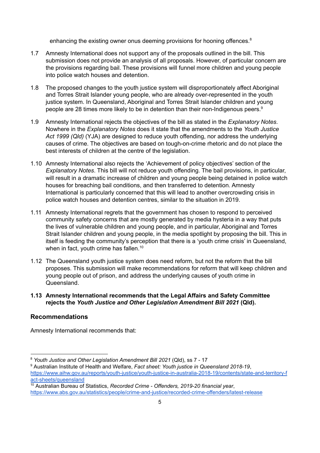enhancing the existing owner onus deeming provisions for hooning offences.<sup>8</sup>

- 1.7 Amnesty International does not support any of the proposals outlined in the bill. This submission does not provide an analysis of all proposals. However, of particular concern are the provisions regarding bail. These provisions will funnel more children and young people into police watch houses and detention.
- 1.8 The proposed changes to the youth justice system will disproportionately affect Aboriginal and Torres Strait Islander young people, who are already over-represented in the youth justice system. In Queensland, Aboriginal and Torres Strait Islander children and young people are 28 times more likely to be in detention than their non-Indigenous peers. 9
- 1.9 Amnesty International rejects the objectives of the bill as stated in the *Explanatory Notes*. Nowhere in the *Explanatory Notes* does it state that the amendments to the *Youth Justice Act 1999 (Qld)* (YJA) are designed to reduce youth offending, nor address the underlying causes of crime. The objectives are based on tough-on-crime rhetoric and do not place the best interests of children at the centre of the legislation.
- 1.10 Amnesty International also rejects the 'Achievement of policy objectives' section of the *Explanatory Notes*. This bill will not reduce youth offending. The bail provisions, in particular, will result in a dramatic increase of children and young people being detained in police watch houses for breaching bail conditions, and then transferred to detention. Amnesty International is particularly concerned that this will lead to another overcrowding crisis in police watch houses and detention centres, similar to the situation in 2019.
- 1.11 Amnesty International regrets that the government has chosen to respond to perceived community safety concerns that are mostly generated by media hysteria in a way that puts the lives of vulnerable children and young people, and in particular, Aboriginal and Torres Strait Islander children and young people, in the media spotlight by proposing the bill. This in itself is feeding the community's perception that there is a 'youth crime crisis' in Queensland, when in fact, youth crime has fallen.<sup>10</sup>
- 1.12 The Queensland youth justice system does need reform, but not the reform that the bill proposes. This submission will make recommendations for reform that will keep children and young people out of prison, and address the underlying causes of youth crime in Queensland.

#### **1.13 Amnesty International recommends that the Legal Affairs and Safety Committee rejects the** *Youth Justice and Other Legislation Amendment Bill 2021* **(Qld).**

# <span id="page-4-0"></span>**Recommendations**

Amnesty International recommends that:

<sup>8</sup> *Youth Justice and Other Legislation Amendment Bill 2021* (Qld), ss 7 - 17

<sup>9</sup> Australian Institute of Health and Welfare, *Fact sheet: Youth justice in Queensland 2018-19*, [https://www.aihw.gov.au/reports/youth-justice/youth-justice-in-australia-2018-19/contents/state-and-territory-f](https://www.aihw.gov.au/reports/youth-justice/youth-justice-in-australia-2018-19/contents/state-and-territory-fact-sheets/queensland) [act-sheets/queensland](https://www.aihw.gov.au/reports/youth-justice/youth-justice-in-australia-2018-19/contents/state-and-territory-fact-sheets/queensland)

<sup>10</sup> Australian Bureau of Statistics, *Recorded Crime - Offenders, 2019-20 financial year*, <https://www.abs.gov.au/statistics/people/crime-and-justice/recorded-crime-offenders/latest-release>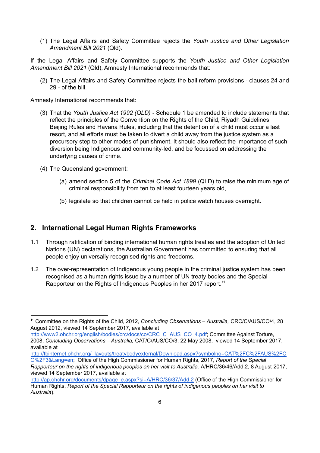(1) The Legal Affairs and Safety Committee rejects the *Youth Justice and Other Legislation Amendment Bill 2021* (Qld).

If the Legal Affairs and Safety Committee supports the *Youth Justice and Other Legislation Amendment Bill 2021* (Qld), Amnesty International recommends that:

(2) The Legal Affairs and Safety Committee rejects the bail reform provisions - clauses 24 and 29 - of the bill.

Amnesty International recommends that:

- (3) That the *Youth Justice Act 1992 (QLD)* Schedule 1 be amended to include statements that reflect the principles of the Convention on the Rights of the Child, Riyadh Guidelines, Beijing Rules and Havana Rules, including that the detention of a child must occur a last resort, and all efforts must be taken to divert a child away from the justice system as a precursory step to other modes of punishment. It should also reflect the importance of such diversion being Indigenous and community-led, and be focussed on addressing the underlying causes of crime.
- (4) The Queensland government:
	- (a) amend section 5 of the *Criminal Code Act 1899* (QLD) to raise the minimum age of criminal responsibility from ten to at least fourteen years old,
	- (b) legislate so that children cannot be held in police watch houses overnight.

# <span id="page-5-0"></span>**2. International Legal Human Rights Frameworks**

- 1.1 Through ratification of binding international human rights treaties and the adoption of United Nations (UN) declarations, the Australian Government has committed to ensuring that all people enjoy universally recognised rights and freedoms.
- 1.2 The over-representation of Indigenous young people in the criminal justice system has been recognised as a human rights issue by a number of UN treaty bodies and the Special Rapporteur on the Rights of Indigenous Peoples in her 2017 report.<sup>11</sup>

[http://tbinternet.ohchr.org/\\_layouts/treatybodyexternal/Download.aspx?symbolno=CAT%2FC%2FAUS%2FC](http://tbinternet.ohchr.org/_layouts/treatybodyexternal/Download.aspx?symbolno=CAT%2FC%2FAUS%2FCO%2F3&Lang=en) [O%2F3&Lang=en](http://tbinternet.ohchr.org/_layouts/treatybodyexternal/Download.aspx?symbolno=CAT%2FC%2FAUS%2FCO%2F3&Lang=en); Office of the High Commissioner for Human Rights, 2017, *Report of the Special Rapporteur on the rights of indigenous peoples on her visit to Australia,* A/HRC/36/46/Add.2, 8 August 2017, viewed 14 September 2017, available at

<sup>11</sup> Committee on the Rights of the Child, 2012, *Concluding Observations – Australia,* CRC/C/AUS/CO/4, 28 August 2012, viewed 14 September 2017, available at

[http://www2.ohchr.org/english/bodies/crc/docs/co/CRC\\_C\\_AUS\\_CO\\_4.pdf](http://www2.ohchr.org/english/bodies/crc/docs/co/CRC_C_AUS_CO_4.pdf); Committee Against Torture, 2008, *Concluding Observations – Australia,* CAT/C/AUS/CO/3, 22 May 2008, viewed 14 September 2017, available at

[http://ap.ohchr.org/documents/dpage\\_e.aspx?si=A/HRC/36/37/Add.2](http://ap.ohchr.org/documents/dpage_e.aspx?si=A/HRC/36/37/Add.2) (Office of the High Commissioner for Human Rights, *Report of the Special Rapporteur on the rights of indigenous peoples on her visit to Australia*).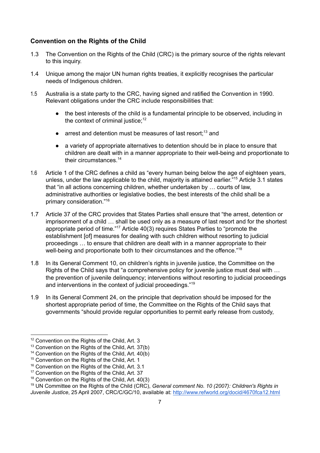# <span id="page-6-0"></span>**Convention on the Rights of the Child**

- 1.3 The Convention on the Rights of the Child (CRC) is the primary source of the rights relevant to this inquiry.
- 1.4 Unique among the major UN human rights treaties, it explicitly recognises the particular needs of Indigenous children.
- 1.5 Australia is a state party to the CRC, having signed and ratified the Convention in 1990. Relevant obligations under the CRC include responsibilities that:
	- the best interests of the child is a fundamental principle to be observed, including in the context of criminal justice; 12
	- $\bullet$  arrest and detention must be measures of last resort;<sup>13</sup> and
	- a variety of appropriate alternatives to detention should be in place to ensure that children are dealt with in a manner appropriate to their well-being and proportionate to their circumstances. 14
- 1.6 Article 1 of the CRC defines a child as "every human being below the age of eighteen years, unless, under the law applicable to the child, majority is attained earlier."<sup>15</sup> Article 3.1 states that "in all actions concerning children, whether undertaken by … courts of law, administrative authorities or legislative bodies, the best interests of the child shall be a primary consideration." 16
- 1.7 Article 37 of the CRC provides that States Parties shall ensure that "the arrest, detention or imprisonment of a child … shall be used only as a measure of last resort and for the shortest appropriate period of time."<sup>17</sup> Article  $40(3)$  requires States Parties to "promote the establishment [of] measures for dealing with such children without resorting to judicial proceedings … to ensure that children are dealt with in a manner appropriate to their well-being and proportionate both to their circumstances and the offence."<sup>18</sup>
- 1.8 In its General Comment 10, on children's rights in juvenile justice, the Committee on the Rights of the Child says that "a comprehensive policy for juvenile justice must deal with … the prevention of juvenile delinquency; interventions without resorting to judicial proceedings and interventions in the context of judicial proceedings."<sup>19</sup>
- 1.9 In its General Comment 24, on the principle that deprivation should be imposed for the shortest appropriate period of time, the Committee on the Rights of the Child says that governments "should provide regular opportunities to permit early release from custody,

<sup>&</sup>lt;sup>12</sup> Convention on the Rights of the Child, Art. 3

<sup>&</sup>lt;sup>13</sup> Convention on the Rights of the Child, Art. 37(b)

<sup>&</sup>lt;sup>14</sup> Convention on the Rights of the Child, Art. 40(b)

<sup>&</sup>lt;sup>15</sup> Convention on the Rights of the Child, Art. 1

<sup>&</sup>lt;sup>16</sup> Convention on the Rights of the Child, Art. 3.1

<sup>&</sup>lt;sup>17</sup> Convention on the Rights of the Child, Art. 37

<sup>&</sup>lt;sup>18</sup> Convention on the Rights of the Child, Art. 40(3)

<sup>19</sup> UN Committee on the Rights of the Child (CRC), *General comment No. 10 (2007): Children's Rights in Juvenile Justice*, 25 April 2007, CRC/C/GC/10, available at: <http://www.refworld.org/docid/4670fca12.html>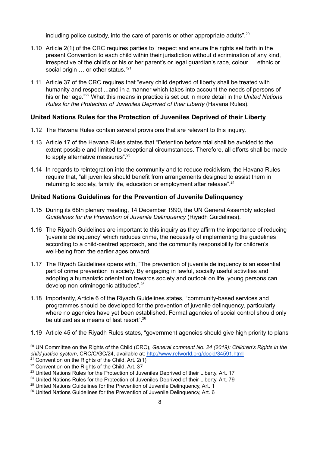including police custody, into the care of parents or other appropriate adults".<sup>20</sup>

- 1.10 Article 2(1) of the CRC requires parties to "respect and ensure the rights set forth in the present Convention to each child within their jurisdiction without discrimination of any kind, irrespective of the child's or his or her parent's or legal guardian's race, colour … ethnic or social origin ... or other status."<sup>21</sup>
- 1.11 Article 37 of the CRC requires that "every child deprived of liberty shall be treated with humanity and respect ...and in a manner which takes into account the needs of persons of his or her age."<sup>22</sup> What this means in practice is set out in more detail in the *United Nations Rules for the Protection of Juveniles Deprived of their Liberty* (Havana Rules).

# <span id="page-7-0"></span>**United Nations Rules for the Protection of Juveniles Deprived of their Liberty**

- 1.12 The Havana Rules contain several provisions that are relevant to this inquiry.
- 1.13 Article 17 of the Havana Rules states that "Detention before trial shall be avoided to the extent possible and limited to exceptional circumstances. Therefore, all efforts shall be made to apply alternative measures".<sup>23</sup>
- 1.14 In regards to reintegration into the community and to reduce recidivism, the Havana Rules require that, "all juveniles should benefit from arrangements designed to assist them in returning to society, family life, education or employment after release".<sup>24</sup>

# <span id="page-7-1"></span>**United Nations Guidelines for the Prevention of Juvenile Delinquency**

- 1.15 During its 68th plenary meeting, 14 December 1990, the UN General Assembly adopted *Guidelines for the Prevention of Juvenile Delinquency* (Riyadh Guidelines).
- 1.16 The Riyadh Guidelines are important to this inquiry as they affirm the importance of reducing 'juvenile delinquency' which reduces crime, the necessity of implementing the guidelines according to a child-centred approach, and the community responsibility for children's well-being from the earlier ages onward.
- 1.17 The Riyadh Guidelines opens with, "The prevention of juvenile delinquency is an essential part of crime prevention in society. By engaging in lawful, socially useful activities and adopting a humanistic orientation towards society and outlook on life, young persons can develop non-criminogenic attitudes".<sup>25</sup>
- 1.18 Importantly, Article 6 of the Riyadh Guidelines states, "community-based services and programmes should be developed for the prevention of juvenile delinquency, particularly where no agencies have yet been established. Formal agencies of social control should only be utilized as a means of last resort".<sup>26</sup>
- 1.19 Article 45 of the Riyadh Rules states, "government agencies should give high priority to plans

<sup>20</sup> UN Committee on the Rights of the Child (CRC), *General comment No. 24 (2019): Children's Rights in the child justice system*, CRC/C/GC/24, available at: [http://www.refworld.org/docid/34591.html](http://www.refworld.org/docid/4670fca12.html)

 $21$  Convention on the Rights of the Child, Art. 2(1)

<sup>&</sup>lt;sup>22</sup> Convention on the Rights of the Child, Art. 37

<sup>&</sup>lt;sup>23</sup> United Nations Rules for the Protection of Juveniles Deprived of their Liberty, Art. 17

<sup>&</sup>lt;sup>24</sup> United Nations Rules for the Protection of Juveniles Deprived of their Liberty, Art. 79

<sup>&</sup>lt;sup>25</sup> United Nations Guidelines for the Prevention of Juvenile Delinquency, Art. 1

<sup>&</sup>lt;sup>26</sup> United Nations Guidelines for the Prevention of Juvenile Delinquency, Art. 6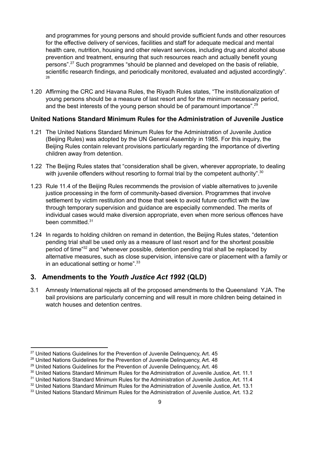and programmes for young persons and should provide sufficient funds and other resources for the effective delivery of services, facilities and staff for adequate medical and mental health care, nutrition, housing and other relevant services, including drug and alcohol abuse prevention and treatment, ensuring that such resources reach and actually benefit young persons".<sup>27</sup> Such programmes "should be planned and developed on the basis of reliable, scientific research findings, and periodically monitored, evaluated and adjusted accordingly". 28

1.20 Affirming the CRC and Havana Rules, the Riyadh Rules states, "The institutionalization of young persons should be a measure of last resort and for the minimum necessary period, and the best interests of the young person should be of paramount importance".<sup>29</sup>

### <span id="page-8-0"></span>**United Nations Standard Minimum Rules for the Administration of Juvenile Justice**

- 1.21 The United Nations Standard Minimum Rules for the Administration of Juvenile Justice (Beijing Rules) was adopted by the UN General Assembly in 1985. For this inquiry, the Beijing Rules contain relevant provisions particularly regarding the importance of diverting children away from detention.
- 1.22 The Beijing Rules states that "consideration shall be given, wherever appropriate, to dealing with juvenile offenders without resorting to formal trial by the competent authority". $30$
- 1.23 Rule 11.4 of the Beijing Rules recommends the provision of viable alternatives to juvenile justice processing in the form of community-based diversion. Programmes that involve settlement by victim restitution and those that seek to avoid future conflict with the law through temporary supervision and guidance are especially commended. The merits of individual cases would make diversion appropriate, even when more serious offences have been committed. 31
- 1.24 In regards to holding children on remand in detention, the Beijing Rules states, "detention pending trial shall be used only as a measure of last resort and for the shortest possible period of time<sup>"32</sup> and "whenever possible, detention pending trial shall be replaced by alternative measures, such as close supervision, intensive care or placement with a family or in an educational setting or home". $33$

# <span id="page-8-1"></span>**3. Amendments to the** *Youth Justice Act 1992* **(QLD)**

3.1 Amnesty International rejects all of the proposed amendments to the Queensland YJA. The bail provisions are particularly concerning and will result in more children being detained in watch houses and detention centres.

<sup>&</sup>lt;sup>27</sup> United Nations Guidelines for the Prevention of Juvenile Delinquency, Art. 45

<sup>&</sup>lt;sup>28</sup> United Nations Guidelines for the Prevention of Juvenile Delinquency, Art. 48

<sup>&</sup>lt;sup>29</sup> United Nations Guidelines for the Prevention of Juvenile Delinquency, Art. 46

<sup>&</sup>lt;sup>30</sup> United Nations Standard Minimum Rules for the Administration of Juvenile Justice, Art. 11.1

<sup>&</sup>lt;sup>31</sup> United Nations Standard Minimum Rules for the Administration of Juvenile Justice, Art. 11.4

<sup>&</sup>lt;sup>32</sup> United Nations Standard Minimum Rules for the Administration of Juvenile Justice, Art. 13.1

<sup>&</sup>lt;sup>33</sup> United Nations Standard Minimum Rules for the Administration of Juvenile Justice, Art. 13.2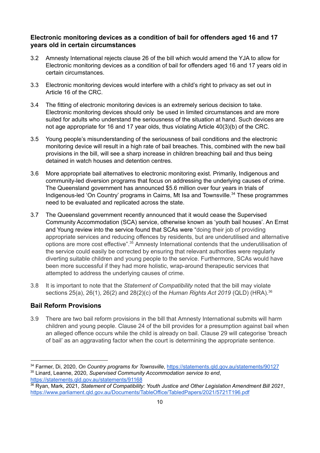# <span id="page-9-0"></span>**Electronic monitoring devices as a condition of bail for offenders aged 16 and 17 years old in certain circumstances**

- 3.2 Amnesty International rejects clause 26 of the bill which would amend the YJA to allow for Electronic monitoring devices as a condition of bail for offenders aged 16 and 17 years old in certain circumstances.
- 3.3 Electronic monitoring devices would interfere with a child's right to privacy as set out in Article 16 of the CRC.
- 3.4 The fitting of electronic monitoring devices is an extremely serious decision to take. Electronic monitoring devices should only be used in limited circumstances and are more suited for adults who understand the seriousness of the situation at hand. Such devices are not age appropriate for 16 and 17 year olds, thus violating Article 40(3)(b) of the CRC.
- 3.5 Young people's misunderstanding of the seriousness of bail conditions and the electronic monitoring device will result in a high rate of bail breaches. This, combined with the new bail provisions in the bill, will see a sharp increase in children breaching bail and thus being detained in watch houses and detention centres.
- 3.6 More appropriate bail alternatives to electronic monitoring exist. Primarily, Indigenous and community-led diversion programs that focus on addressing the underlying causes of crime. The Queensland government has announced \$5.6 million over four years in trials of Indigenous-led 'On Country' programs in Cairns, Mt Isa and Townsville.<sup>34</sup> These programmes need to be evaluated and replicated across the state.
- 3.7 The Queensland government recently announced that it would cease the Supervised Community Accommodation (SCA) service, otherwise known as 'youth bail houses'. An Ernst and Young review into the service found that SCAs were "doing their job of providing appropriate services and reducing offences by residents, but are underutilised and alternative options are more cost effective".<sup>35</sup> Amnesty International contends that the underutilisation of the service could easily be corrected by ensuring that relevant authorities were regularly diverting suitable children and young people to the service. Furthermore, SCAs would have been more successful if they had more holistic, wrap-around therapeutic services that attempted to address the underlying causes of crime.
- 3.8 It is important to note that the *Statement of Compatibility* noted that the bill may violate sections 25(a), 26(1), 26(2) and 28(2)(c) of the *Human Rights Act 2019* (QLD) (HRA). 36

# <span id="page-9-1"></span>**Bail Reform Provisions**

3.9 There are two bail reform provisions in the bill that Amnesty International submits will harm children and young people. Clause 24 of the bill provides for a presumption against bail when an alleged offence occurs while the child is already on bail. Clause 29 will categorise 'breach of bail' as an aggravating factor when the court is determining the appropriate sentence.

<sup>35</sup> Linard, Leanne, 2020, *Supervised Community Accommodation service to end*, <https://statements.qld.gov.au/statements/91168> <sup>34</sup> Farmer, Di, 2020, *On Country programs for Townsville*, <https://statements.qld.gov.au/statements/90127>

<sup>36</sup> Ryan, Mark, 2021, *Statement of Compatibility: Youth Justice and Other Legislation Amendment Bill 2021*, <https://www.parliament.qld.gov.au/Documents/TableOffice/TabledPapers/2021/5721T196.pdf>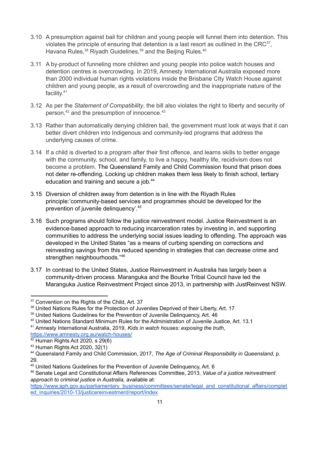- 3.10 A presumption against bail for children and young people will funnel them into detention. This violates the principle of ensuring that detention is a last resort as outlined in the CRC $37$ , Havana Rules,  $38$  Riyadh Guidelines,  $39$  and the Beijing Rules.  $40$
- 3.11 A by-product of funneling more children and young people into police watch houses and detention centres is overcrowding. In 2019, Amnesty International Australia exposed more than 2000 individual human rights violations inside the Brisbane CIty Watch House against children and young people, as a result of overcrowding and the inappropriate nature of the facility.<sup>41</sup>
- 3.12 As per the *Statement of Compatibility*, the bill also violates the right to liberty and security of person, $42$  and the presumption of innocence. $43$
- 3.13 Rather than automatically denying children bail, the government must look at ways that it can better divert children into Indigenous and community-led programs that address the underlying causes of crime.
- 3.14 If a child is diverted to a program after their first offence, and learns skills to better engage with the community, school, and family, to live a happy, healthy life, recidivism does not become a problem. The Queensland Family and Child Commission found that prison does not deter re-offending. Locking up children makes them less likely to finish school, tertiary education and training and secure a job.<sup>44</sup>
- 3.15 Diversion of children away from detention is in line with the Riyadh Rules principle:'community-based services and programmes should be developed for the prevention of juvenile delinquency'. 45
- 3.16 Such programs should follow the justice reinvestment model. Justice Reinvestment is an evidence-based approach to reducing incarceration rates by investing in, and supporting communities to address the underlying social issues leading to offending. The approach was developed in the United States "as a means of curbing spending on corrections and reinvesting savings from this reduced spending in strategies that can decrease crime and strengthen neighbourhoods."<sup>46</sup>
- 3.17 In contrast to the United States, Justice Reinvestment in Australia has largely been a community-driven process. Maranguka and the Bourke Tribal Council have led the Maranguka Justice Reinvestment Project since 2013, in partnership with JustReinvest NSW.

<https://www.amnesty.org.au/watch-houses/>

<sup>&</sup>lt;sup>37</sup> Convention on the Rights of the Child, Art. 37

<sup>38</sup> United Nations Rules for the Protection of Juveniles Deprived of their Liberty, Art. 17

<sup>&</sup>lt;sup>39</sup> United Nations Guidelines for the Prevention of Juvenile Delinquency, Art. 46

<sup>40</sup> United Nations Standard Minimum Rules for the Administration of Juvenile Justice, Art. 13.1

<sup>41</sup> Amnesty International Australia, 2019, *Kids in watch houses: exposing the truth*,

 $42$  Human Rights Act 2020, s 29(6)

<sup>43</sup> Human Rights Act 2020, 32(1)

<sup>44</sup> Queensland Family and Child Commission, 2017, *The Age of Criminal Responsibility in Queensland*, p. 29.

<sup>45</sup> United Nations Guidelines for the Prevention of Juvenile Delinquency, Art. 6

<sup>46</sup> Senate Legal and Constitutional Affairs References Committee, 2013, *Value of a justice reinvestment approach to criminal justice in Australia,* available at:

[https://www.aph.gov.au/parliamentary\\_business/committees/senate/legal\\_and\\_constitutional\\_affairs/complet](https://www.aph.gov.au/parliamentary_business/committees/senate/legal_and_constitutional_affairs/completed_inquiries/2010-13/justicereinvestment/report/index) [ed\\_inquiries/2010-13/justicereinvestment/report/index](https://www.aph.gov.au/parliamentary_business/committees/senate/legal_and_constitutional_affairs/completed_inquiries/2010-13/justicereinvestment/report/index)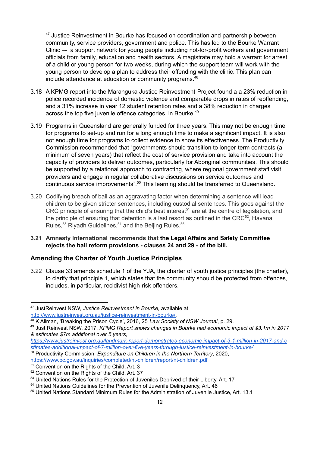$47$  Justice Reinvestment in Bourke has focused on coordination and partnership between community, service providers, government and police. This has led to the Bourke Warrant Clinic –- a support network for young people including not-for-profit workers and government officials from family, education and health sectors. A magistrate may hold a warrant for arrest of a child or young person for two weeks, during which the support team will work with the young person to develop a plan to address their offending with the clinic. This plan can include attendance at education or community programs. 48

- 3.18 A KPMG report into the Maranguka Justice Reinvestment Project found a a 23% reduction in police recorded incidence of domestic violence and comparable drops in rates of reoffending, and a 31% increase in year 12 student retention rates and a 38% reduction in charges across the top five juvenile offence categories, in Bourke.<sup>49</sup>
- 3.19 Programs in Queensland are generally funded for three years. This may not be enough time for programs to set-up and run for a long enough time to make a significant impact. It is also not enough time for programs to collect evidence to show its effectiveness. The Productivity Commission recommended that "governments should transition to longer-term contracts (a minimum of seven years) that reflect the cost of service provision and take into account the capacity of providers to deliver outcomes, particularly for Aboriginal communities. This should be supported by a relational approach to contracting, where regional government staff visit providers and engage in regular collaborative discussions on service outcomes and continuous service improvements".<sup>50</sup> This learning should be transferred to Queensland.
- 3.20 Codifying breach of bail as an aggravating factor when determining a sentence will lead children to be given stricter sentences, including custodial sentences. This goes against the CRC principle of ensuring that the child's best interest<sup>51</sup> are at the centre of legislation, and the principle of ensuring that detention is a last resort as outlined in the CRC $52$ , Havana Rules,<sup>53</sup> Riyadh Guidelines,<sup>54</sup> and the Beijing Rules.<sup>55</sup>
- **3.21 Amnesty International recommends that the Legal Affairs and Safety Committee rejects the bail reform provisions - clauses 24 and 29 - of the bill.**

# <span id="page-11-0"></span>**Amending the Charter of Youth Justice Principles**

3.22 Clause 33 amends schedule 1 of the YJA, the charter of youth justice principles (the charter), to clarify that principle 1, which states that the community should be protected from offences, includes, in particular, recidivist high-risk offenders.

<sup>47</sup> JustReinvest NSW, *Justice Reinvestment in Bourke,* available at [http://www.justreinvest.org.au/justice-reinvestment-in-bourke/.](http://www.justreinvest.org.au/justice-reinvestment-in-bourke/)

<sup>48</sup> K Allman, 'Breaking the Prison Cycle', 2016, 25 *Law Society of NSW Journal*, p. 29.

<sup>49</sup> Just Reinvest NSW, 2017, *KPMG Report shows changes in Bourke had economic impact of \$3.1m in 2017 & estimates \$7m additional over 5 years,*

*[https://www.justreinvest.org.au/landmark-report-demonstrates-economic-impact-of-3-1-million-in-2017-and-e](https://www.justreinvest.org.au/landmark-report-demonstrates-economic-impact-of-3-1-million-in-2017-and-estimates-additional-impact-of-7-million-over-five-years-through-justice-reinvestment-in-bourke/) [stimates-additional-impact-of-7-million-over-five-years-through-justice-reinvestment-in-bourke/](https://www.justreinvest.org.au/landmark-report-demonstrates-economic-impact-of-3-1-million-in-2017-and-estimates-additional-impact-of-7-million-over-five-years-through-justice-reinvestment-in-bourke/)*

<sup>50</sup> Productivity Commission, *Expenditure on Children in the Northern Territory*, 2020, <https://www.pc.gov.au/inquiries/completed/nt-children/report/nt-children.pdf>

<sup>&</sup>lt;sup>51</sup> Convention on the Rights of the Child, Art. 3

<sup>52</sup> Convention on the Rights of the Child, Art. 37

<sup>&</sup>lt;sup>53</sup> United Nations Rules for the Protection of Juveniles Deprived of their Liberty, Art. 17

<sup>54</sup> United Nations Guidelines for the Prevention of Juvenile Delinquency, Art. 46

<sup>55</sup> United Nations Standard Minimum Rules for the Administration of Juvenile Justice, Art. 13.1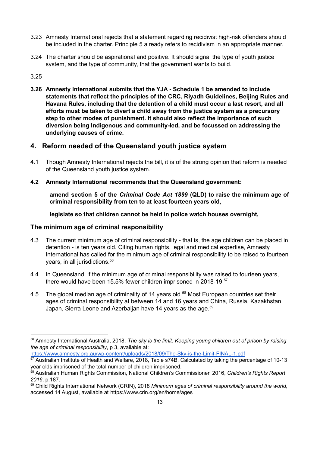- 3.23 Amnesty International rejects that a statement regarding recidivist high-risk offenders should be included in the charter. Principle 5 already refers to recidivism in an appropriate manner.
- 3.24 The charter should be aspirational and positive. It should signal the type of youth justice system, and the type of community, that the government wants to build.

### 3.25

**3.26 Amnesty International submits that the YJA - Schedule 1 be amended to include statements that reflect the principles of the CRC, Riyadh Guidelines, Beijing Rules and Havana Rules, including that the detention of a child must occur a last resort, and all efforts must be taken to divert a child away from the justice system as a precursory step to other modes of punishment. It should also reflect the importance of such diversion being Indigenous and community-led, and be focussed on addressing the underlying causes of crime.**

# <span id="page-12-0"></span>**4. Reform needed of the Queensland youth justice system**

- 4.1 Though Amnesty International rejects the bill, it is of the strong opinion that reform is needed of the Queensland youth justice system.
- **4.2 Amnesty International recommends that the Queensland government:**

**amend section 5 of the** *Criminal Code Act 1899* **(QLD) to raise the minimum age of criminal responsibility from ten to at least fourteen years old,**

**legislate so that children cannot be held in police watch houses overnight,**

#### <span id="page-12-1"></span>**The minimum age of criminal responsibility**

- 4.3 The current minimum age of criminal responsibility that is, the age children can be placed in detention - is ten years old. Citing human rights, legal and medical expertise, Amnesty International has called for the minimum age of criminal responsibility to be raised to fourteen years, in all jurisdictions. 56
- 4.4 In Queensland, if the minimum age of criminal responsibility was raised to fourteen years, there would have been 15.5% fewer children imprisoned in 2018-19.<sup>57</sup>
- 4.5 The global median age of criminality of 14 years old.<sup>58</sup> Most European countries set their ages of criminal responsibility at between 14 and 16 years and China, Russia, Kazakhstan, Japan, Sierra Leone and Azerbaijan have 14 years as the age.<sup>59</sup>

<https://www.amnesty.org.au/wp-content/uploads/2018/09/The-Sky-is-the-Limit-FINAL-1.pdf>

<sup>56</sup> Amnesty International Australia, 2018, *The sky is the limit: Keeping young children out of prison by raising the age of criminal responsibility*, p 3, available at:

<sup>57</sup> Australian Institute of Health and Welfare, 2018, Table s74B. Calculated by taking the percentage of 10-13 year olds imprisoned of the total number of children imprisoned.

<sup>58</sup> Australian Human Rights Commission, National Children's Commissioner, 2016, *Children's Rights Report 2016*, p.187.

<sup>59</sup> Child Rights International Network (CRIN), 2018 *Minimum ages of criminal responsibility around the world*, accessed 14 August, available at <https://www.crin.org/en/home/ages>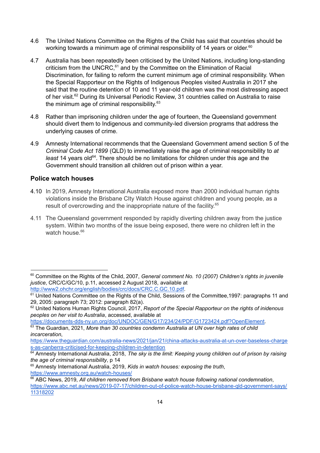- 4.6 The United Nations Committee on the Rights of the Child has said that countries should be working towards a minimum age of criminal responsibility of 14 years or older.<sup>60</sup>
- 4.7 Australia has been repeatedly been criticised by the United Nations, including long-standing criticism from the UNCRC, $61$  and by the Committee on the Elimination of Racial Discrimination, for failing to reform the current minimum age of criminal responsibility. When the Special Rapporteur on the Rights of Indigenous Peoples visited Australia in 2017 she said that the routine detention of 10 and 11 year-old children was the most distressing aspect of her visit.<sup>62</sup> During its Universal Periodic Review, 31 countries called on Australia to raise the minimum age of criminal responsibility. 63
- 4.8 Rather than imprisoning children under the age of fourteen, the Queensland government should divert them to Indigenous and community-led diversion programs that address the underlying causes of crime.
- 4.9 Amnesty International recommends that the Queensland Government amend section 5 of the *Criminal Code Act 1899* (QLD) to immediately raise the age of criminal responsibility to *at* least 14 years old<sup>64</sup>. There should be no limitations for children under this age and the Government should transition all children out of prison within a year.

### <span id="page-13-0"></span>**Police watch houses**

- 4.10 In 2019, Amnesty International Australia exposed more than 2000 individual human rights violations inside the Brisbane CIty Watch House against children and young people, as a result of overcrowding and the inappropriate nature of the facility. 65
- 4.11 The Queensland government responded by rapidly diverting children away from the justice system. Within two months of the issue being exposed, there were no children left in the watch house.<sup>66</sup>

<sup>63</sup> The Guardian, 2021, *More than 30 countries condemn Australia at UN over high rates of child incarceration*, [https://documents-dds-ny.un.org/doc/UNDOC/GEN/G17/234/24/PDF/G1723424.pdf?OpenElement.](https://documents-dds-ny.un.org/doc/UNDOC/GEN/G17/234/24/PDF/G1723424.pdf?OpenElement)

<sup>60</sup> Committee on the Rights of the Child, 2007, *General comment No. 10 (2007) Children's rights in juvenile justice*, CRC/C/GC/10, p.11, accessed 2 August 2018, available at [http://www2.ohchr.org/english/bodies/crc/docs/CRC.C.GC.10.pdf.](http://www2.ohchr.org/english/bodies/crc/docs/CRC.C.GC.10.pdf)

<sup>61</sup> United Nations Committee on the Rights of the Child, Sessions of the Committee, 1997: paragraphs 11 and 29, 2005: paragraph 73; 2012: paragraph 82(a).

<sup>62</sup> United Nations Human Rights Council, 2017, *Report of the Special Rapporteur on the rights of inidenous peoples on her visit to Australia*, accessed, available at

[https://www.theguardian.com/australia-news/2021/jan/21/china-attacks-australia-at-un-over-baseless-charge](https://www.theguardian.com/australia-news/2021/jan/21/china-attacks-australia-at-un-over-baseless-charges-as-canberra-criticised-for-keeping-children-in-detention) [s-as-canberra-criticised-for-keeping-children-in-detention](https://www.theguardian.com/australia-news/2021/jan/21/china-attacks-australia-at-un-over-baseless-charges-as-canberra-criticised-for-keeping-children-in-detention)

<sup>64</sup> Amnesty International Australia, 2018, *The sky is the limit: Keeping young children out of prison by raising the age of criminal responsibility*, p 14

<sup>65</sup> Amnesty International Australia, 2019, *Kids in watch houses: exposing the truth*, <https://www.amnesty.org.au/watch-houses/>

<sup>66</sup> ABC News, 2019, *All children removed from Brisbane watch house following national condemnation*, [https://www.abc.net.au/news/2019-07-17/children-out-of-police-watch-house-brisbane-qld-government-says/](https://www.abc.net.au/news/2019-07-17/children-out-of-police-watch-house-brisbane-qld-government-says/11318202) [11318202](https://www.abc.net.au/news/2019-07-17/children-out-of-police-watch-house-brisbane-qld-government-says/11318202)